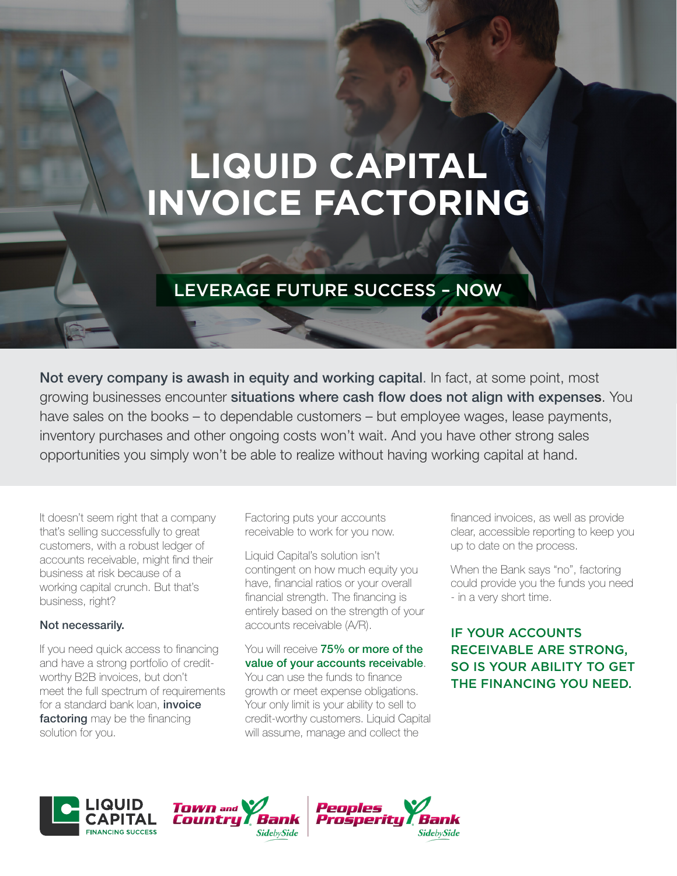# **LIQUID CAPITAL INVOICE FACTORING**

## LEVERAGE FUTURE SUCCESS – NOW

Not every company is awash in equity and working capital. In fact, at some point, most growing businesses encounter situations where cash flow does not align with expenses. You have sales on the books – to dependable customers – but employee wages, lease payments, inventory purchases and other ongoing costs won't wait. And you have other strong sales opportunities you simply won't be able to realize without having working capital at hand.

It doesn't seem right that a company that's selling successfully to great customers, with a robust ledger of accounts receivable, might find their business at risk because of a working capital crunch. But that's business, right?

#### Not necessarily.

If you need quick access to financing and have a strong portfolio of creditworthy B2B invoices, but don't meet the full spectrum of requirements for a standard bank loan, *invoice* factoring may be the financing solution for you.

Factoring puts your accounts receivable to work for you now.

Liquid Capital's solution isn't contingent on how much equity you have, financial ratios or your overall financial strength. The financing is entirely based on the strength of your accounts receivable (A/R).

#### You will receive 75% or more of the value of your accounts receivable. You can use the funds to finance growth or meet expense obligations.

Your only limit is your ability to sell to credit-worthy customers. Liquid Capital will assume, manage and collect the

financed invoices, as well as provide clear, accessible reporting to keep you up to date on the process.

When the Bank says "no", factoring could provide you the funds you need - in a very short time.

### IF YOUR ACCOUNTS RECEIVABLE ARE STRONG, SO IS YOUR ABILITY TO GET THE FINANCING YOU NEED.



**TOWN** and Countru Bank **SidebySide** 

Peoples Prosperiti **SidebySide**